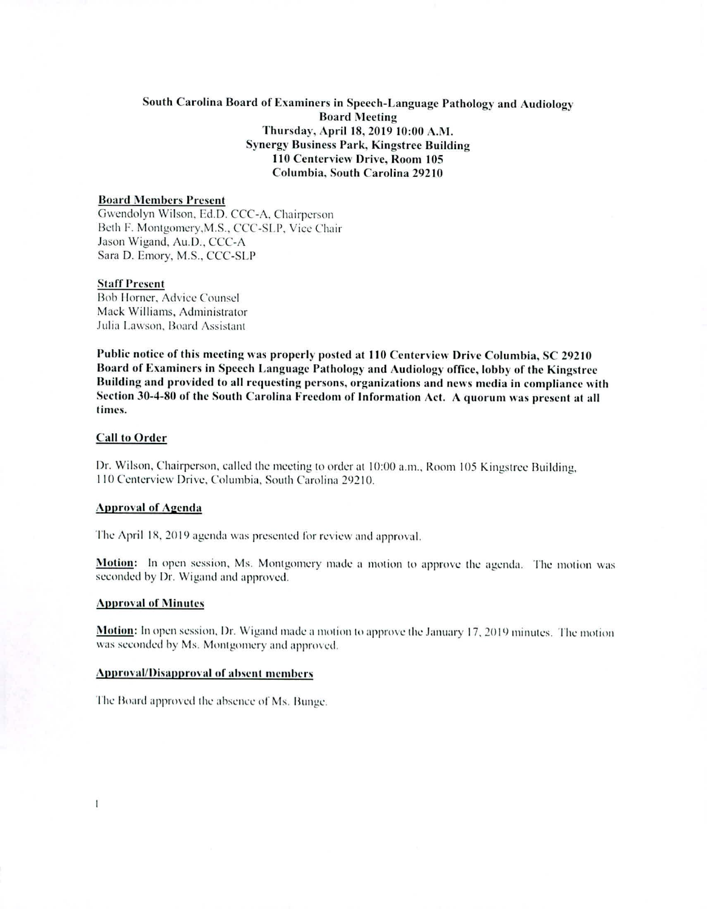# South Carolina Board of Examiners in Speech-Language Pathology and Audiology Board Meeting Thursday, April 18, 2019 10:00 A.M. Synergy Business Park, Kingstree Building 110 Centerview Drive, Room 105 Columbia, South Carolina 29210

## Board Members Present

Gwendolyn Wilson, Ed.D. CCC-A, Chairperson Beth F. Montgomery,M.S., CCC-SLP, Vice Chair Jason Wigand, Au.D., CCC-A Sara D. Emory, M.S., CCC-SLP

## Staff Present

Bob Horner, Advice Counsel Mack Williams, Administrator Julia Lawson, Board Assistant

Public notice of this meeting was properly posted at 110 Centerview Drive Columbia, SC 29210 Board of Examiners in Speech Language Pathology and Audiology office, lobby of the Kingstree Building and provided to all requesting persons, organizations and news media in compliance with Section 30-4-80 of the South Carolina Freedom of Information Act. A quorum was present at all times.

## Call to Order

Dr. Wilson, Chairperson, called the meeting to order at 10:00 a.m., Room 105 Kingstree Building, 110 Centerview Drive, Columbia, South Carolina 29210.

## Approval of Agenda

The April IS, 2019 agenda was presented for review and approval.

Motion: In open session, Ms. Montgomery made a motion to approve the agenda. The motion was seconded by Dr. Wigand and approved.

### Approval of Minutes

1

Motion: In open session, Dr. Wigand made a motion to approve the January 17, 2019 minutes. The motion was seconded by Ms. Montgomery and approved.

### Approval/Disapproval of absent members

The Board approved the absence of Ms. Bunge.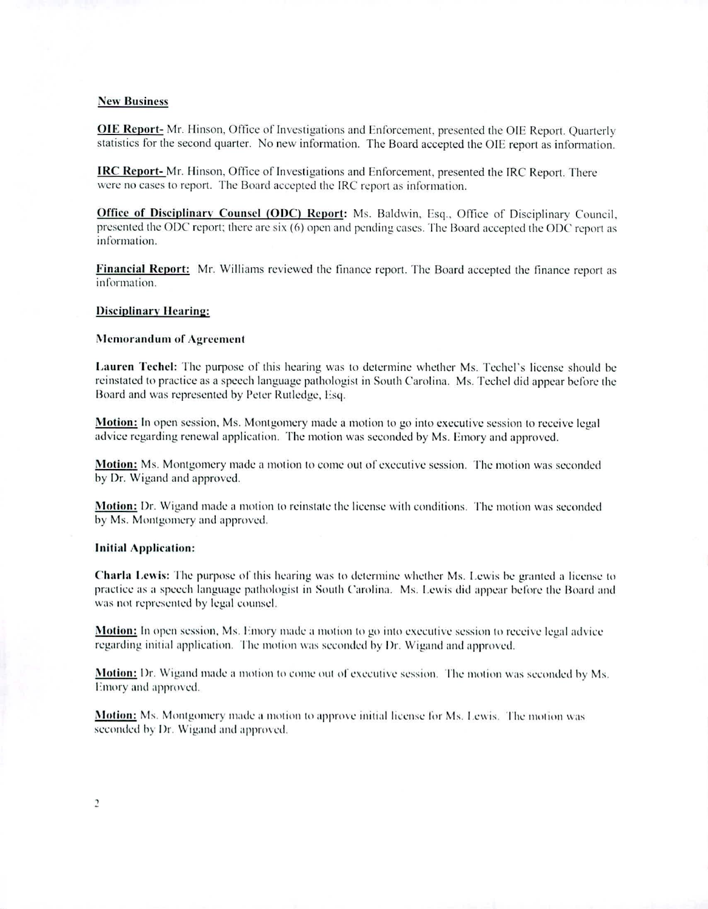### **New Business**

**OIE Report-** Mr. Hinson, Office of Investigations and Enforcement, presented the OIE Report. Quarterly statistics for the second quarter. No new information. The Board accepted the OIE report as information.

**IRC Report-** Mr. Hinson, Office of Investigations and Enforcement, presented the IRC Report. There were no eases to report. The Board accepted the IRC report as information.

**Office of Disciplinary Counsel (ODC) Report:** Ms. Baldwin, Esq., Office of Disciplinary Council, presented the ODC report; there are six (6) open and pending cases. The Board accepted the ODC report as information.

**Financial Report:** Mr. Williams reviewed the finance report. The Board accepted the finance report as information.

## **Disciplinary Ilearin2:**

#### **Memorandum of Agreement**

**Lauren Techel:** The purpose of this hearing was to determine whether Ms. Techel's license should he reinstated to practice as a speech language pathologist in South Carolina. Ms. Techel did appear before the Board and was represented by Peter Rutledge, Esq.

**Motion: In** open session, Ms. Montgomery made a motion to go into executive session to receive legal advice regarding renewal application. The motion was seconded by Ms. Emory and approved.

**Motion:** Ms. Montgomery made a motion to come out of executive session. The motion was seconded by Dr. Wigand and approved.

**Motion:** Dr. Wigand made a motion to reinstate the license with conditions. The motion was seconded by Ms. Montgomery and approved.

## **Initial Application:**

**Charla Lewis: The** purpose of this hearing was to determine whether Ms. Lewis he granted a license to practice as a speech language pathologist in South Carolina. Ms. Lewis did appear before the Board and was not represented by legal counsel.

**Motion: In** open session, Ms. Emory made a motion to go into executive session to receive legal advice regarding initial application. The motion was seconded by Dr. Wigand and approved.

Motion: Dr. Wigand made a motion to come out of executive session. The motion was seconded by Ms. I:mory and approved.

**Motion:** Ms. Montgomery made a motion to approve initial license for Ms. Lewis. The motion was seconded by Dr. Wigand and approved.